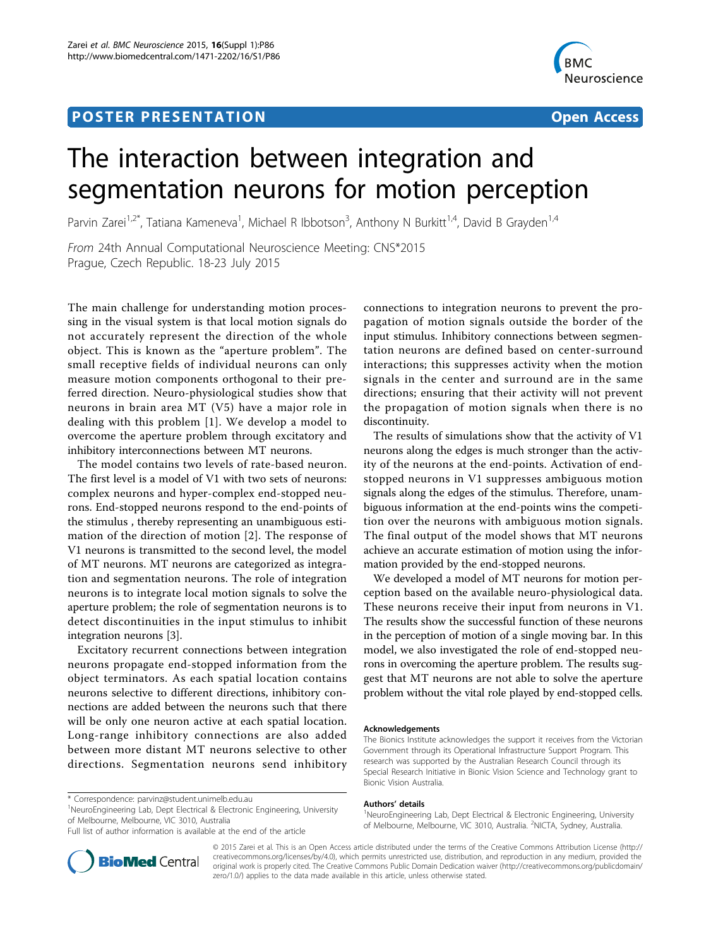# **POSTER PRESENTATION CONSUMING THE SERVICE SERVICE SERVICES**



# The interaction between integration and segmentation neurons for motion perception

Parvin Zarei<sup>1,2\*</sup>, Tatiana Kameneva<sup>1</sup>, Michael R Ibbotson<sup>3</sup>, Anthony N Burkitt<sup>1,4</sup>, David B Grayden<sup>1,4</sup>

From 24th Annual Computational Neuroscience Meeting: CNS\*2015 Prague, Czech Republic. 18-23 July 2015

The main challenge for understanding motion processing in the visual system is that local motion signals do not accurately represent the direction of the whole object. This is known as the "aperture problem". The small receptive fields of individual neurons can only measure motion components orthogonal to their preferred direction. Neuro-physiological studies show that neurons in brain area MT (V5) have a major role in dealing with this problem [[1](#page-1-0)]. We develop a model to overcome the aperture problem through excitatory and inhibitory interconnections between MT neurons.

The model contains two levels of rate-based neuron. The first level is a model of V1 with two sets of neurons: complex neurons and hyper-complex end-stopped neurons. End-stopped neurons respond to the end-points of the stimulus , thereby representing an unambiguous estimation of the direction of motion [[2](#page-1-0)]. The response of V1 neurons is transmitted to the second level, the model of MT neurons. MT neurons are categorized as integration and segmentation neurons. The role of integration neurons is to integrate local motion signals to solve the aperture problem; the role of segmentation neurons is to detect discontinuities in the input stimulus to inhibit integration neurons [[3](#page-1-0)].

Excitatory recurrent connections between integration neurons propagate end-stopped information from the object terminators. As each spatial location contains neurons selective to different directions, inhibitory connections are added between the neurons such that there will be only one neuron active at each spatial location. Long-range inhibitory connections are also added between more distant MT neurons selective to other directions. Segmentation neurons send inhibitory

connections to integration neurons to prevent the propagation of motion signals outside the border of the input stimulus. Inhibitory connections between segmentation neurons are defined based on center-surround interactions; this suppresses activity when the motion signals in the center and surround are in the same directions; ensuring that their activity will not prevent the propagation of motion signals when there is no discontinuity.

The results of simulations show that the activity of V1 neurons along the edges is much stronger than the activity of the neurons at the end-points. Activation of endstopped neurons in V1 suppresses ambiguous motion signals along the edges of the stimulus. Therefore, unambiguous information at the end-points wins the competition over the neurons with ambiguous motion signals. The final output of the model shows that MT neurons achieve an accurate estimation of motion using the information provided by the end-stopped neurons.

We developed a model of MT neurons for motion perception based on the available neuro-physiological data. These neurons receive their input from neurons in V1. The results show the successful function of these neurons in the perception of motion of a single moving bar. In this model, we also investigated the role of end-stopped neurons in overcoming the aperture problem. The results suggest that MT neurons are not able to solve the aperture problem without the vital role played by end-stopped cells.

#### Acknowledgements

#### Authors' details <sup>1</sup>

<sup>1</sup>NeuroEngineering Lab, Dept Electrical & Electronic Engineering, University of Melbourne, Melbourne, VIC 3010, Australia. <sup>2</sup>NICTA, Sydney, Australia.



© 2015 Zarei et al. This is an Open Access article distributed under the terms of the Creative Commons Attribution License [\(http://](http://creativecommons.org/licenses/by/4.0) [creativecommons.org/licenses/by/4.0](http://creativecommons.org/licenses/by/4.0)), which permits unrestricted use, distribution, and reproduction in any medium, provided the original work is properly cited. The Creative Commons Public Domain Dedication waiver ([http://creativecommons.org/publicdomain/](http://creativecommons.org/publicdomain/zero/1.0/) [zero/1.0/](http://creativecommons.org/publicdomain/zero/1.0/)) applies to the data made available in this article, unless otherwise stated.

<sup>\*</sup> Correspondence: [parvinz@student.unimelb.edu.au](mailto:parvinz@student.unimelb.edu.au)

<sup>&</sup>lt;sup>1</sup>NeuroEngineering Lab, Dept Electrical & Electronic Engineering, University of Melbourne, Melbourne, VIC 3010, Australia

Full list of author information is available at the end of the article

The Bionics Institute acknowledges the support it receives from the Victorian Government through its Operational Infrastructure Support Program. This research was supported by the Australian Research Council through its Special Research Initiative in Bionic Vision Science and Technology grant to Bionic Vision Australia.